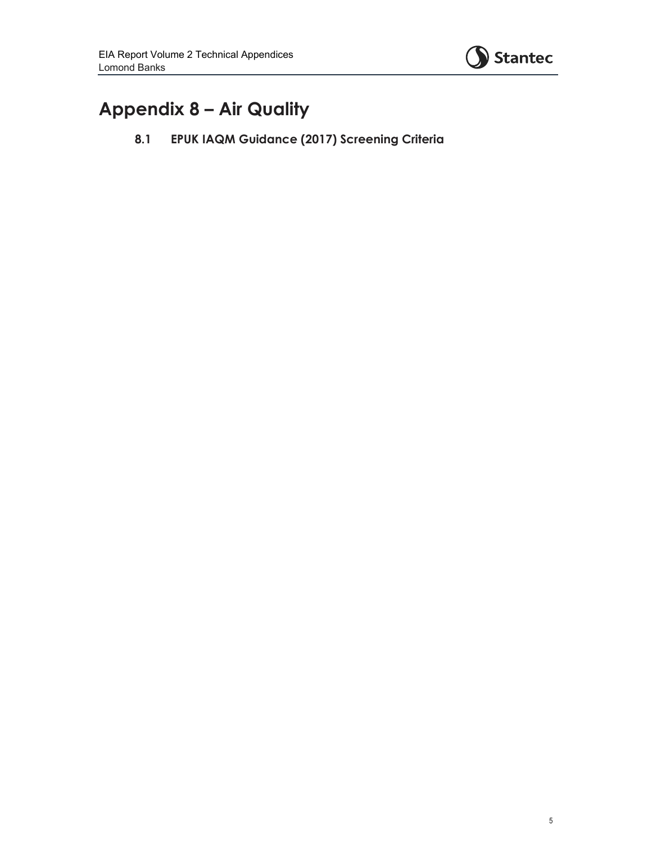

## **Appendix 8 – Air Quality**

**8.1 EPUK IAQM Guidance (2017) Screening Criteria**